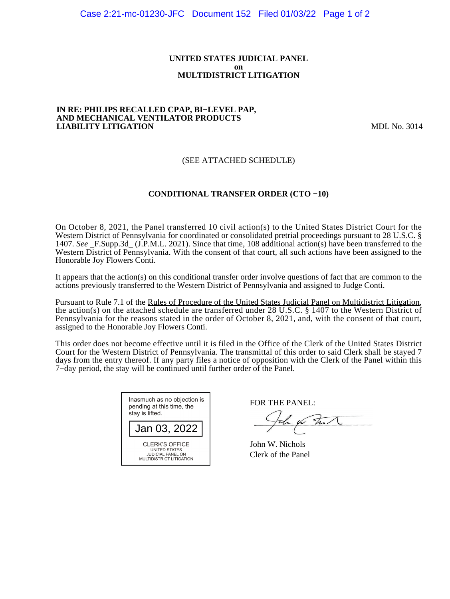#### **UNITED STATES JUDICIAL PANEL on MULTIDISTRICT LITIGATION**

#### **IN RE: PHILIPS RECALLED CPAP, BI−LEVEL PAP, AND MECHANICAL VENTILATOR PRODUCTS LIABILITY LITIGATION** MDL No. 3014

# (SEE ATTACHED SCHEDULE)

# **CONDITIONAL TRANSFER ORDER (CTO −10)**

On October 8, 2021, the Panel transferred 10 civil action(s) to the United States District Court for the Western District of Pennsylvania for coordinated or consolidated pretrial proceedings pursuant to 28 U.S.C. § 1407. *See* \_F.Supp.3d\_ (J.P.M.L. 2021). Since that time, 108 additional action(s) have been transferred to the Western District of Pennsylvania. With the consent of that court, all such actions have been assigned to the Honorable Joy Flowers Conti.

It appears that the action(s) on this conditional transfer order involve questions of fact that are common to the actions previously transferred to the Western District of Pennsylvania and assigned to Judge Conti.

Pursuant to Rule 7.1 of the Rules of Procedure of the United States Judicial Panel on Multidistrict Litigation, the action(s) on the attached schedule are transferred under 28 U.S.C. § 1407 to the Western District of Pennsylvania for the reasons stated in the order of October 8, 2021, and, with the consent of that court, assigned to the Honorable Joy Flowers Conti.

This order does not become effective until it is filed in the Office of the Clerk of the United States District Court for the Western District of Pennsylvania. The transmittal of this order to said Clerk shall be stayed 7 days from the entry thereof. If any party files a notice of opposition with the Clerk of the Panel within this 7−day period, the stay will be continued until further order of the Panel.

| Inasmuch as no objection is<br>pending at this time, the<br>stay is lifted.                    |  |  |  |  |
|------------------------------------------------------------------------------------------------|--|--|--|--|
| Jan 03, 2022                                                                                   |  |  |  |  |
| <b>CLERK'S OFFICE</b><br>UNITED STATES<br><b>JUDICIAL PANEL ON</b><br>MULTIDISTRICT LITIGATION |  |  |  |  |

FOR THE PANEL:

the for that

John W. Nichols Clerk of the Panel